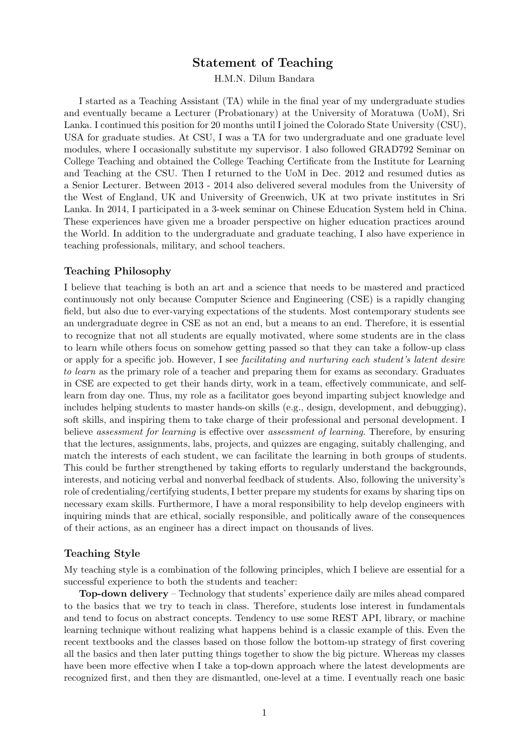## Statement of Teaching

H.M.N. Dilum Bandara

I started as a Teaching Assistant (TA) while in the final year of my undergraduate studies and eventually became a Lecturer (Probationary) at the University of Moratuwa (UoM), Sri Lanka. I continued this position for 20 months until I joined the Colorado State University (CSU), USA for graduate studies. At CSU, I was a TA for two undergraduate and one graduate level modules, where I occasionally substitute my supervisor. I also followed GRAD792 Seminar on College Teaching and obtained the College Teaching Certificate from the Institute for Learning and Teaching at the CSU. Then I returned to the UoM in Dec. 2012 and resumed duties as a Senior Lecturer. Between 2013 - 2014 also delivered several modules from the University of the West of England, UK and University of Greenwich, UK at two private institutes in Sri Lanka. In 2014, I participated in a 3-week seminar on Chinese Education System held in China. These experiences have given me a broader perspective on higher education practices around the World. In addition to the undergraduate and graduate teaching, I also have experience in teaching professionals, military, and school teachers.

## Teaching Philosophy

I believe that teaching is both an art and a science that needs to be mastered and practiced continuously not only because Computer Science and Engineering (CSE) is a rapidly changing field, but also due to ever-varying expectations of the students. Most contemporary students see an undergraduate degree in CSE as not an end, but a means to an end. Therefore, it is essential to recognize that not all students are equally motivated, where some students are in the class to learn while others focus on somehow getting passed so that they can take a follow-up class or apply for a specific job. However, I see facilitating and nurturing each student's latent desire to learn as the primary role of a teacher and preparing them for exams as secondary. Graduates in CSE are expected to get their hands dirty, work in a team, effectively communicate, and selflearn from day one. Thus, my role as a facilitator goes beyond imparting subject knowledge and includes helping students to master hands-on skills (e.g., design, development, and debugging), soft skills, and inspiring them to take charge of their professional and personal development. I believe assessment for learning is effective over assessment of learning. Therefore, by ensuring that the lectures, assignments, labs, projects, and quizzes are engaging, suitably challenging, and match the interests of each student, we can facilitate the learning in both groups of students. This could be further strengthened by taking efforts to regularly understand the backgrounds, interests, and noticing verbal and nonverbal feedback of students. Also, following the university's role of credentialing/certifying students, I better prepare my students for exams by sharing tips on necessary exam skills. Furthermore, I have a moral responsibility to help develop engineers with inquiring minds that are ethical, socially responsible, and politically aware of the consequences of their actions, as an engineer has a direct impact on thousands of lives.

## Teaching Style

My teaching style is a combination of the following principles, which I believe are essential for a successful experience to both the students and teacher:

Top-down delivery – Technology that students' experience daily are miles ahead compared to the basics that we try to teach in class. Therefore, students lose interest in fundamentals and tend to focus on abstract concepts. Tendency to use some REST API, library, or machine learning technique without realizing what happens behind is a classic example of this. Even the recent textbooks and the classes based on those follow the bottom-up strategy of first covering all the basics and then later putting things together to show the big picture. Whereas my classes have been more effective when I take a top-down approach where the latest developments are recognized first, and then they are dismantled, one-level at a time. I eventually reach one basic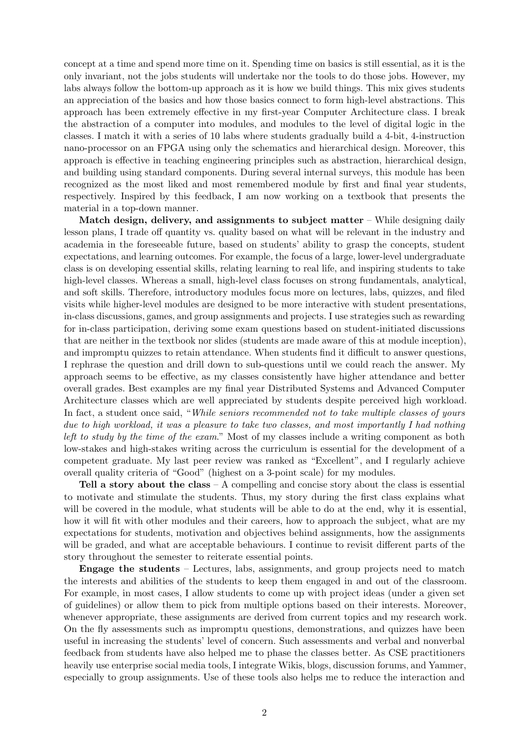concept at a time and spend more time on it. Spending time on basics is still essential, as it is the only invariant, not the jobs students will undertake nor the tools to do those jobs. However, my labs always follow the bottom-up approach as it is how we build things. This mix gives students an appreciation of the basics and how those basics connect to form high-level abstractions. This approach has been extremely effective in my first-year Computer Architecture class. I break the abstraction of a computer into modules, and modules to the level of digital logic in the classes. I match it with a series of 10 labs where students gradually build a 4-bit, 4-instruction nano-processor on an FPGA using only the schematics and hierarchical design. Moreover, this approach is effective in teaching engineering principles such as abstraction, hierarchical design, and building using standard components. During several internal surveys, this module has been recognized as the most liked and most remembered module by first and final year students, respectively. Inspired by this feedback, I am now working on a textbook that presents the material in a top-down manner.

Match design, delivery, and assignments to subject matter – While designing daily lesson plans, I trade off quantity vs. quality based on what will be relevant in the industry and academia in the foreseeable future, based on students' ability to grasp the concepts, student expectations, and learning outcomes. For example, the focus of a large, lower-level undergraduate class is on developing essential skills, relating learning to real life, and inspiring students to take high-level classes. Whereas a small, high-level class focuses on strong fundamentals, analytical, and soft skills. Therefore, introductory modules focus more on lectures, labs, quizzes, and filed visits while higher-level modules are designed to be more interactive with student presentations, in-class discussions, games, and group assignments and projects. I use strategies such as rewarding for in-class participation, deriving some exam questions based on student-initiated discussions that are neither in the textbook nor slides (students are made aware of this at module inception), and impromptu quizzes to retain attendance. When students find it difficult to answer questions, I rephrase the question and drill down to sub-questions until we could reach the answer. My approach seems to be effective, as my classes consistently have higher attendance and better overall grades. Best examples are my final year Distributed Systems and Advanced Computer Architecture classes which are well appreciated by students despite perceived high workload. In fact, a student once said, "While seniors recommended not to take multiple classes of yours due to high workload, it was a pleasure to take two classes, and most importantly I had nothing left to study by the time of the exam." Most of my classes include a writing component as both low-stakes and high-stakes writing across the curriculum is essential for the development of a competent graduate. My last peer review was ranked as "Excellent", and I regularly achieve overall quality criteria of "Good" (highest on a 3-point scale) for my modules.

Tell a story about the class  $- A$  compelling and concise story about the class is essential to motivate and stimulate the students. Thus, my story during the first class explains what will be covered in the module, what students will be able to do at the end, why it is essential, how it will fit with other modules and their careers, how to approach the subject, what are my expectations for students, motivation and objectives behind assignments, how the assignments will be graded, and what are acceptable behaviours. I continue to revisit different parts of the story throughout the semester to reiterate essential points.

Engage the students – Lectures, labs, assignments, and group projects need to match the interests and abilities of the students to keep them engaged in and out of the classroom. For example, in most cases, I allow students to come up with project ideas (under a given set of guidelines) or allow them to pick from multiple options based on their interests. Moreover, whenever appropriate, these assignments are derived from current topics and my research work. On the fly assessments such as impromptu questions, demonstrations, and quizzes have been useful in increasing the students' level of concern. Such assessments and verbal and nonverbal feedback from students have also helped me to phase the classes better. As CSE practitioners heavily use enterprise social media tools, I integrate Wikis, blogs, discussion forums, and Yammer, especially to group assignments. Use of these tools also helps me to reduce the interaction and